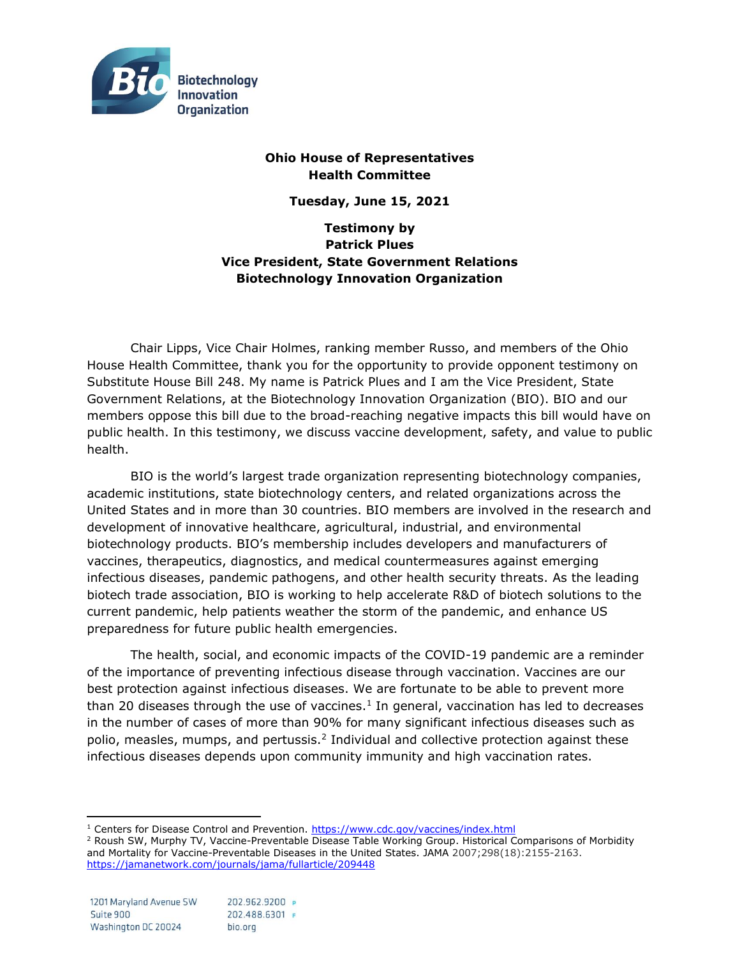

# **Ohio House of Representatives Health Committee**

**Tuesday, June 15, 2021**

**Testimony by Patrick Plues Vice President, State Government Relations Biotechnology Innovation Organization**

Chair Lipps, Vice Chair Holmes, ranking member Russo, and members of the Ohio House Health Committee, thank you for the opportunity to provide opponent testimony on Substitute House Bill 248. My name is Patrick Plues and I am the Vice President, State Government Relations, at the Biotechnology Innovation Organization (BIO). BIO and our members oppose this bill due to the broad-reaching negative impacts this bill would have on public health. In this testimony, we discuss vaccine development, safety, and value to public health.

BIO is the world's largest trade organization representing biotechnology companies, academic institutions, state biotechnology centers, and related organizations across the United States and in more than 30 countries. BIO members are involved in the research and development of innovative healthcare, agricultural, industrial, and environmental biotechnology products. BIO's membership includes developers and manufacturers of vaccines, therapeutics, diagnostics, and medical countermeasures against emerging infectious diseases, pandemic pathogens, and other health security threats. As the leading biotech trade association, BIO is working to help accelerate R&D of biotech solutions to the current pandemic, help patients weather the storm of the pandemic, and enhance US preparedness for future public health emergencies.

The health, social, and economic impacts of the COVID-19 pandemic are a reminder of the importance of preventing infectious disease through vaccination. Vaccines are our best protection against infectious diseases. We are fortunate to be able to prevent more than 20 diseases through the use of vaccines. $<sup>1</sup>$  In general, vaccination has led to decreases</sup> in the number of cases of more than 90% for many significant infectious diseases such as polio, measles, mumps, and pertussis.<sup>2</sup> Individual and collective protection against these infectious diseases depends upon community immunity and high vaccination rates.

<sup>1</sup> Centers for Disease Control and Prevention.<https://www.cdc.gov/vaccines/index.html>

<sup>&</sup>lt;sup>2</sup> Roush SW, Murphy TV, Vaccine-Preventable Disease Table Working Group. Historical Comparisons of Morbidity and Mortality for Vaccine-Preventable Diseases in the United States. JAMA 2007;298(18):2155-2163. <https://jamanetwork.com/journals/jama/fullarticle/209448>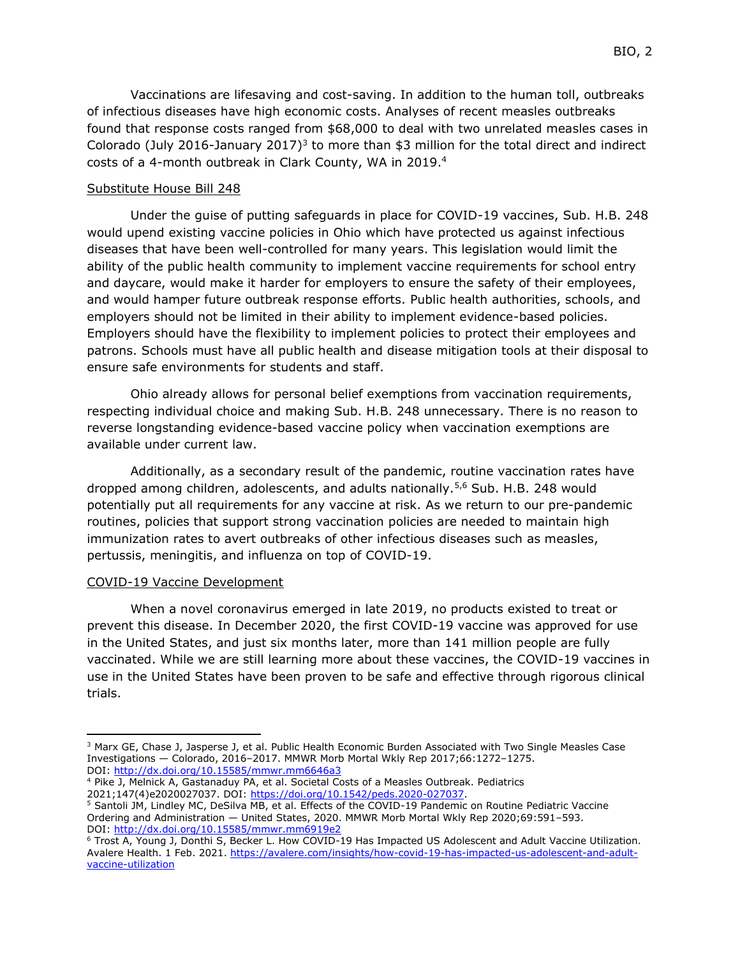Vaccinations are lifesaving and cost-saving. In addition to the human toll, outbreaks of infectious diseases have high economic costs. Analyses of recent measles outbreaks found that response costs ranged from \$68,000 to deal with two unrelated measles cases in Colorado (July 2016-January 2017)<sup>3</sup> to more than \$3 million for the total direct and indirect costs of a 4-month outbreak in Clark County, WA in 2019. 4

## Substitute House Bill 248

Under the guise of putting safeguards in place for COVID-19 vaccines, Sub. H.B. 248 would upend existing vaccine policies in Ohio which have protected us against infectious diseases that have been well-controlled for many years. This legislation would limit the ability of the public health community to implement vaccine requirements for school entry and daycare, would make it harder for employers to ensure the safety of their employees, and would hamper future outbreak response efforts. Public health authorities, schools, and employers should not be limited in their ability to implement evidence-based policies. Employers should have the flexibility to implement policies to protect their employees and patrons. Schools must have all public health and disease mitigation tools at their disposal to ensure safe environments for students and staff.

Ohio already allows for personal belief exemptions from vaccination requirements, respecting individual choice and making Sub. H.B. 248 unnecessary. There is no reason to reverse longstanding evidence-based vaccine policy when vaccination exemptions are available under current law.

Additionally, as a secondary result of the pandemic, routine vaccination rates have dropped among children, adolescents, and adults nationally.5,6 Sub. H.B. 248 would potentially put all requirements for any vaccine at risk. As we return to our pre-pandemic routines, policies that support strong vaccination policies are needed to maintain high immunization rates to avert outbreaks of other infectious diseases such as measles, pertussis, meningitis, and influenza on top of COVID-19.

#### COVID-19 Vaccine Development

When a novel coronavirus emerged in late 2019, no products existed to treat or prevent this disease. In December 2020, the first COVID-19 vaccine was approved for use in the United States, and just six months later, more than 141 million people are fully vaccinated. While we are still learning more about these vaccines, the COVID-19 vaccines in use in the United States have been proven to be safe and effective through rigorous clinical trials.

<sup>&</sup>lt;sup>3</sup> Marx GE, Chase J, Jasperse J, et al. Public Health Economic Burden Associated with Two Single Measles Case Investigations — Colorado, 2016–2017. MMWR Morb Mortal Wkly Rep 2017;66:1272–1275. DOI: <http://dx.doi.org/10.15585/mmwr.mm6646a3>

<sup>4</sup> Pike J, Melnick A, Gastanaduy PA, et al. Societal Costs of a Measles Outbreak. Pediatrics 2021;147(4)e2020027037. DOI: [https://doi.org/10.1542/peds.2020-027037.](https://doi.org/10.1542/peds.2020-027037)

<sup>5</sup> Santoli JM, Lindley MC, DeSilva MB, et al. Effects of the COVID-19 Pandemic on Routine Pediatric Vaccine Ordering and Administration — United States, 2020. MMWR Morb Mortal Wkly Rep 2020;69:591–593. DOI: <http://dx.doi.org/10.15585/mmwr.mm6919e2>

<sup>6</sup> Trost A, Young J, Donthi S, Becker L. How COVID-19 Has Impacted US Adolescent and Adult Vaccine Utilization. Avalere Health. 1 Feb. 2021[. https://avalere.com/insights/how-covid-19-has-impacted-us-adolescent-and-adult](https://avalere.com/insights/how-covid-19-has-impacted-us-adolescent-and-adult-vaccine-utilization)[vaccine-utilization](https://avalere.com/insights/how-covid-19-has-impacted-us-adolescent-and-adult-vaccine-utilization)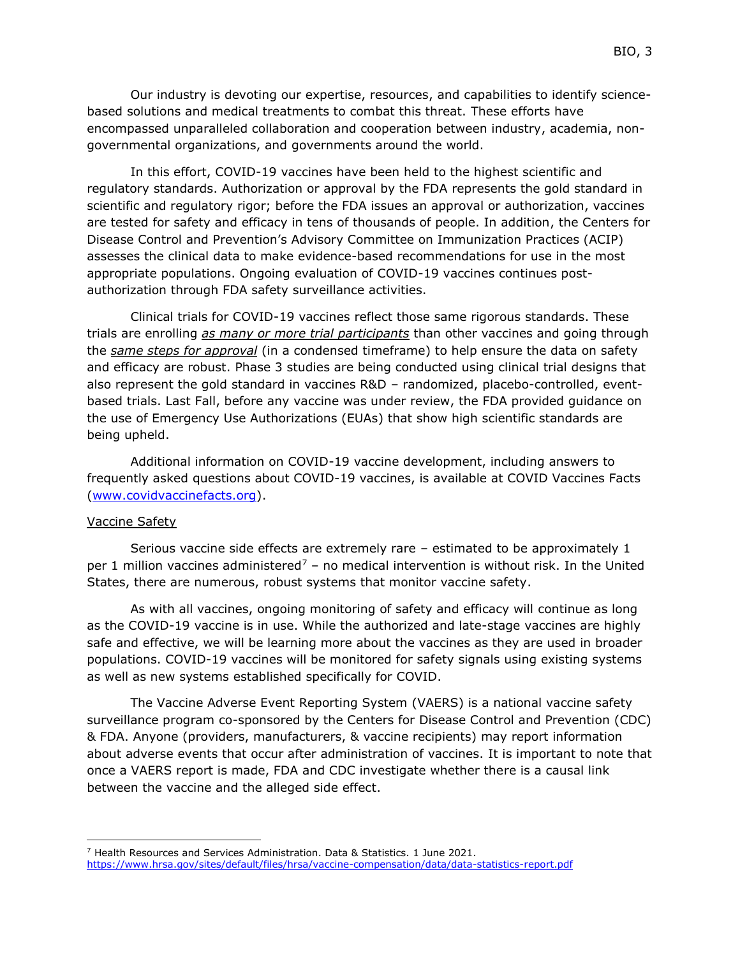Our industry is devoting our expertise, resources, and capabilities to identify sciencebased solutions and medical treatments to combat this threat. These efforts have encompassed unparalleled collaboration and cooperation between industry, academia, nongovernmental organizations, and governments around the world.

In this effort, COVID-19 vaccines have been held to the highest scientific and regulatory standards. Authorization or approval by the FDA represents the gold standard in scientific and regulatory rigor; before the FDA issues an approval or authorization, vaccines are tested for safety and efficacy in tens of thousands of people. In addition, the Centers for Disease Control and Prevention's Advisory Committee on Immunization Practices (ACIP) assesses the clinical data to make evidence-based recommendations for use in the most appropriate populations. Ongoing evaluation of COVID-19 vaccines continues postauthorization through FDA safety surveillance activities.

Clinical trials for COVID-19 vaccines reflect those same rigorous standards. These trials are enrolling *as many or more trial participants* than other vaccines and going through the *same steps for approval* (in a condensed timeframe) to help ensure the data on safety and efficacy are robust. Phase 3 studies are being conducted using clinical trial designs that also represent the gold standard in vaccines R&D – randomized, placebo-controlled, eventbased trials. Last Fall, before any vaccine was under review, the FDA provided guidance on the use of Emergency Use Authorizations (EUAs) that show high scientific standards are being upheld.

Additional information on COVID-19 vaccine development, including answers to frequently asked questions about COVID-19 vaccines, is available at COVID Vaccines Facts [\(www.covidvaccinefacts.org\)](http://www.covidvaccinefacts.org/).

#### Vaccine Safety

Serious vaccine side effects are extremely rare – estimated to be approximately 1 per 1 million vaccines administered<sup>7</sup> – no medical intervention is without risk. In the United States, there are numerous, robust systems that monitor vaccine safety.

As with all vaccines, ongoing monitoring of safety and efficacy will continue as long as the COVID-19 vaccine is in use. While the authorized and late-stage vaccines are highly safe and effective, we will be learning more about the vaccines as they are used in broader populations. COVID-19 vaccines will be monitored for safety signals using existing systems as well as new systems established specifically for COVID.

The Vaccine Adverse Event Reporting System (VAERS) is a national vaccine safety surveillance program co-sponsored by the Centers for Disease Control and Prevention (CDC) & FDA. Anyone (providers, manufacturers, & vaccine recipients) may report information about adverse events that occur after administration of vaccines. It is important to note that once a VAERS report is made, FDA and CDC investigate whether there is a causal link between the vaccine and the alleged side effect.

<sup>7</sup> Health Resources and Services Administration. Data & Statistics. 1 June 2021. <https://www.hrsa.gov/sites/default/files/hrsa/vaccine-compensation/data/data-statistics-report.pdf>